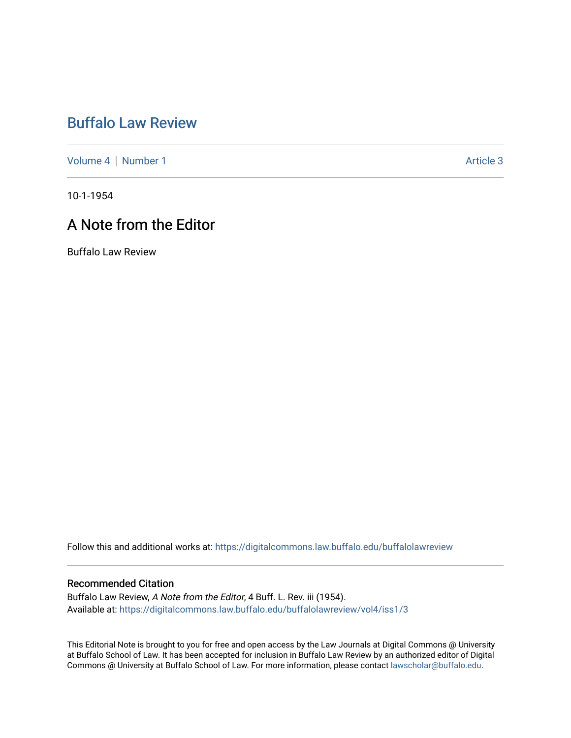## [Buffalo Law Review](https://digitalcommons.law.buffalo.edu/buffalolawreview)

[Volume 4](https://digitalcommons.law.buffalo.edu/buffalolawreview/vol4) | [Number 1](https://digitalcommons.law.buffalo.edu/buffalolawreview/vol4/iss1) Article 3

10-1-1954

## A Note from the Editor

Buffalo Law Review

Follow this and additional works at: [https://digitalcommons.law.buffalo.edu/buffalolawreview](https://digitalcommons.law.buffalo.edu/buffalolawreview?utm_source=digitalcommons.law.buffalo.edu%2Fbuffalolawreview%2Fvol4%2Fiss1%2F3&utm_medium=PDF&utm_campaign=PDFCoverPages) 

## Recommended Citation

Buffalo Law Review, A Note from the Editor, 4 Buff. L. Rev. iii (1954). Available at: [https://digitalcommons.law.buffalo.edu/buffalolawreview/vol4/iss1/3](https://digitalcommons.law.buffalo.edu/buffalolawreview/vol4/iss1/3?utm_source=digitalcommons.law.buffalo.edu%2Fbuffalolawreview%2Fvol4%2Fiss1%2F3&utm_medium=PDF&utm_campaign=PDFCoverPages) 

This Editorial Note is brought to you for free and open access by the Law Journals at Digital Commons @ University at Buffalo School of Law. It has been accepted for inclusion in Buffalo Law Review by an authorized editor of Digital Commons @ University at Buffalo School of Law. For more information, please contact [lawscholar@buffalo.edu](mailto:lawscholar@buffalo.edu).